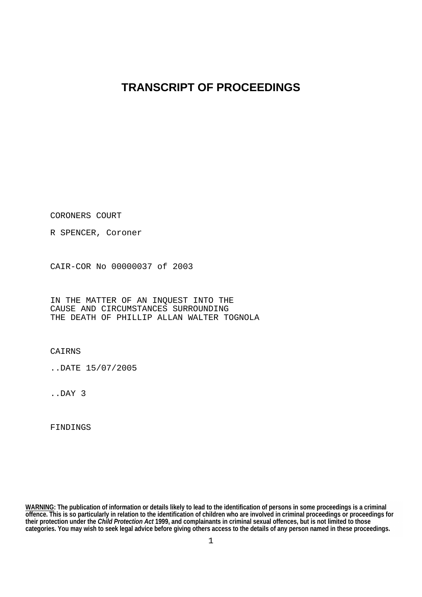## **TRANSCRIPT OF PROCEEDINGS**

CORONERS COURT

R SPENCER, Coroner

CAIR-COR No 00000037 of 2003

IN THE MATTER OF AN INQUEST INTO THE CAUSE AND CIRCUMSTANCES SURROUNDING THE DEATH OF PHILLIP ALLAN WALTER TOGNOLA

CAIRNS

..DATE 15/07/2005

..DAY 3

FINDINGS

**WARNING: The publication of information or details likely to lead to the identification of persons in some proceedings is a criminal offence. This is so particularly in relation to the identification of children who are involved in criminal proceedings or proceedings for their protection under the** *Child Protection Act* **1999, and complainants in criminal sexual offences, but is not limited to those categories. You may wish to seek legal advice before giving others access to the details of any person named in these proceedings.**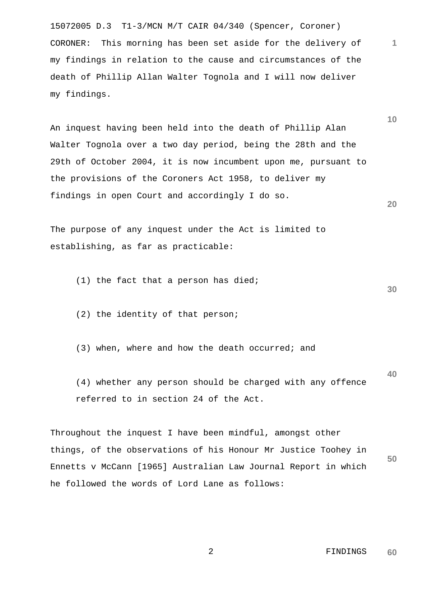15072005 D.3 T1-3/MCN M/T CAIR 04/340 (Spencer, Coroner) CORONER: This morning has been set aside for the delivery of my findings in relation to the cause and circumstances of the death of Phillip Allan Walter Tognola and I will now deliver my findings.

An inquest having been held into the death of Phillip Alan Walter Tognola over a two day period, being the 28th and the 29th of October 2004, it is now incumbent upon me, pursuant to the provisions of the Coroners Act 1958, to deliver my findings in open Court and accordingly I do so.

The purpose of any inquest under the Act is limited to establishing, as far as practicable:

(1) the fact that a person has died;

(2) the identity of that person;

(3) when, where and how the death occurred; and

 (4) whether any person should be charged with any offence referred to in section 24 of the Act.

**50** Throughout the inquest I have been mindful, amongst other things, of the observations of his Honour Mr Justice Toohey in Ennetts v McCann [1965] Australian Law Journal Report in which he followed the words of Lord Lane as follows:

> 2 FINDINGS **60**

**30**

**40**

**1**

**10**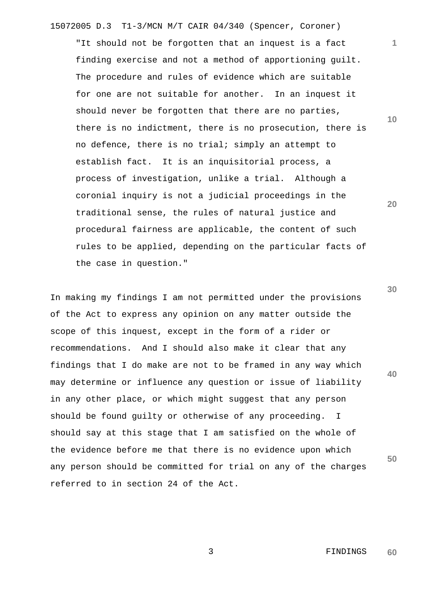"It should not be forgotten that an inquest is a fact finding exercise and not a method of apportioning guilt. The procedure and rules of evidence which are suitable for one are not suitable for another. In an inquest it should never be forgotten that there are no parties, there is no indictment, there is no prosecution, there is no defence, there is no trial; simply an attempt to establish fact. It is an inquisitorial process, a process of investigation, unlike a trial. Although a coronial inquiry is not a judicial proceedings in the traditional sense, the rules of natural justice and procedural fairness are applicable, the content of such rules to be applied, depending on the particular facts of the case in question."

In making my findings I am not permitted under the provisions of the Act to express any opinion on any matter outside the scope of this inquest, except in the form of a rider or recommendations. And I should also make it clear that any findings that I do make are not to be framed in any way which may determine or influence any question or issue of liability in any other place, or which might suggest that any person should be found guilty or otherwise of any proceeding. I should say at this stage that I am satisfied on the whole of the evidence before me that there is no evidence upon which any person should be committed for trial on any of the charges referred to in section 24 of the Act.

**10**

**1**

**20**

**30**

**40**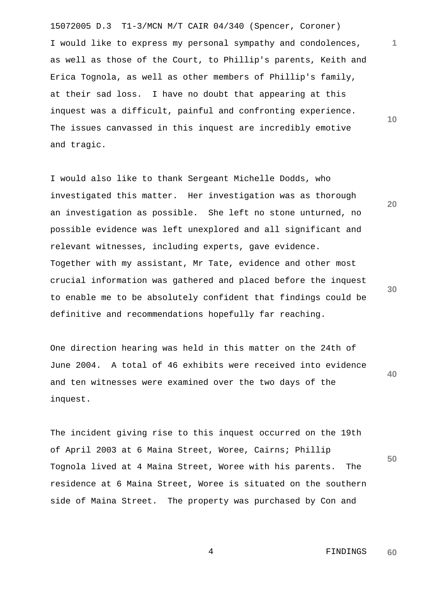15072005 D.3 T1-3/MCN M/T CAIR 04/340 (Spencer, Coroner) I would like to express my personal sympathy and condolences, as well as those of the Court, to Phillip's parents, Keith and Erica Tognola, as well as other members of Phillip's family, at their sad loss. I have no doubt that appearing at this inquest was a difficult, painful and confronting experience. The issues canvassed in this inquest are incredibly emotive and tragic.

I would also like to thank Sergeant Michelle Dodds, who investigated this matter. Her investigation was as thorough an investigation as possible. She left no stone unturned, no possible evidence was left unexplored and all significant and relevant witnesses, including experts, gave evidence. Together with my assistant, Mr Tate, evidence and other most crucial information was gathered and placed before the inquest to enable me to be absolutely confident that findings could be definitive and recommendations hopefully far reaching.

**40** One direction hearing was held in this matter on the 24th of June 2004. A total of 46 exhibits were received into evidence and ten witnesses were examined over the two days of the inquest.

The incident giving rise to this inquest occurred on the 19th of April 2003 at 6 Maina Street, Woree, Cairns; Phillip Tognola lived at 4 Maina Street, Woree with his parents. The residence at 6 Maina Street, Woree is situated on the southern side of Maina Street. The property was purchased by Con and

**10**

**1**

**30**

**50**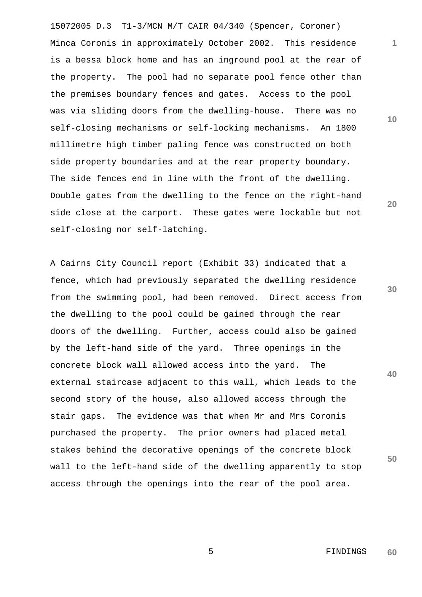15072005 D.3 T1-3/MCN M/T CAIR 04/340 (Spencer, Coroner) Minca Coronis in approximately October 2002. This residence is a bessa block home and has an inground pool at the rear of the property. The pool had no separate pool fence other than the premises boundary fences and gates. Access to the pool was via sliding doors from the dwelling-house. There was no self-closing mechanisms or self-locking mechanisms. An 1800 millimetre high timber paling fence was constructed on both side property boundaries and at the rear property boundary. The side fences end in line with the front of the dwelling. Double gates from the dwelling to the fence on the right-hand side close at the carport. These gates were lockable but not self-closing nor self-latching.

A Cairns City Council report (Exhibit 33) indicated that a fence, which had previously separated the dwelling residence from the swimming pool, had been removed. Direct access from the dwelling to the pool could be gained through the rear doors of the dwelling. Further, access could also be gained by the left-hand side of the yard. Three openings in the concrete block wall allowed access into the yard. The external staircase adjacent to this wall, which leads to the second story of the house, also allowed access through the stair gaps. The evidence was that when Mr and Mrs Coronis purchased the property. The prior owners had placed metal stakes behind the decorative openings of the concrete block wall to the left-hand side of the dwelling apparently to stop access through the openings into the rear of the pool area.

**10**

**1**

**20**

**30**

**40**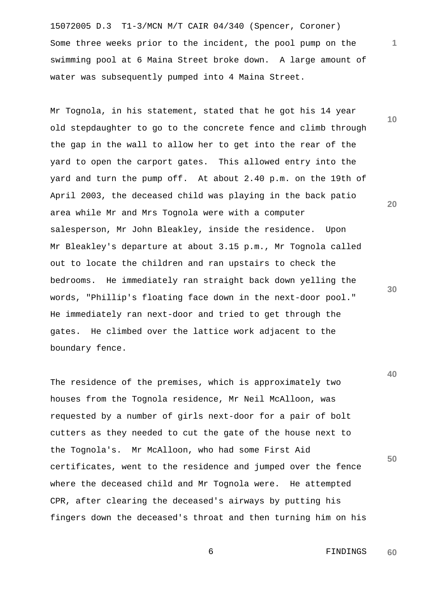15072005 D.3 T1-3/MCN M/T CAIR 04/340 (Spencer, Coroner) Some three weeks prior to the incident, the pool pump on the swimming pool at 6 Maina Street broke down. A large amount of water was subsequently pumped into 4 Maina Street.

Mr Tognola, in his statement, stated that he got his 14 year old stepdaughter to go to the concrete fence and climb through the gap in the wall to allow her to get into the rear of the yard to open the carport gates. This allowed entry into the yard and turn the pump off. At about 2.40 p.m. on the 19th of April 2003, the deceased child was playing in the back patio area while Mr and Mrs Tognola were with a computer salesperson, Mr John Bleakley, inside the residence. Upon Mr Bleakley's departure at about 3.15 p.m., Mr Tognola called out to locate the children and ran upstairs to check the bedrooms. He immediately ran straight back down yelling the words, "Phillip's floating face down in the next-door pool." He immediately ran next-door and tried to get through the gates. He climbed over the lattice work adjacent to the boundary fence.

The residence of the premises, which is approximately two houses from the Tognola residence, Mr Neil McAlloon, was requested by a number of girls next-door for a pair of bolt cutters as they needed to cut the gate of the house next to the Tognola's. Mr McAlloon, who had some First Aid certificates, went to the residence and jumped over the fence where the deceased child and Mr Tognola were. He attempted CPR, after clearing the deceased's airways by putting his fingers down the deceased's throat and then turning him on his

**10**

**1**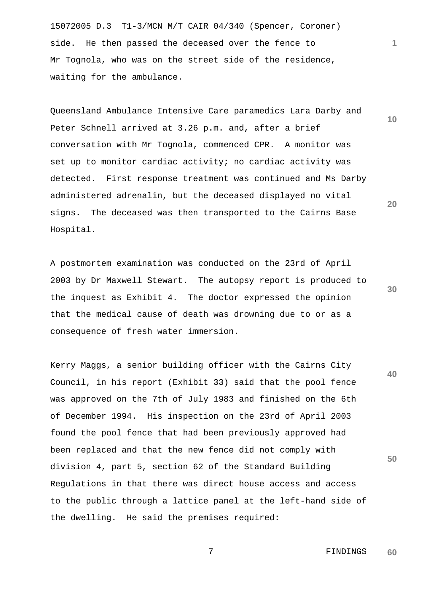15072005 D.3 T1-3/MCN M/T CAIR 04/340 (Spencer, Coroner) side. He then passed the deceased over the fence to Mr Tognola, who was on the street side of the residence, waiting for the ambulance.

Queensland Ambulance Intensive Care paramedics Lara Darby and Peter Schnell arrived at 3.26 p.m. and, after a brief conversation with Mr Tognola, commenced CPR. A monitor was set up to monitor cardiac activity; no cardiac activity was detected. First response treatment was continued and Ms Darby administered adrenalin, but the deceased displayed no vital signs. The deceased was then transported to the Cairns Base Hospital.

A postmortem examination was conducted on the 23rd of April 2003 by Dr Maxwell Stewart. The autopsy report is produced to the inquest as Exhibit 4. The doctor expressed the opinion that the medical cause of death was drowning due to or as a consequence of fresh water immersion.

**40 50** Kerry Maggs, a senior building officer with the Cairns City Council, in his report (Exhibit 33) said that the pool fence was approved on the 7th of July 1983 and finished on the 6th of December 1994. His inspection on the 23rd of April 2003 found the pool fence that had been previously approved had been replaced and that the new fence did not comply with division 4, part 5, section 62 of the Standard Building Regulations in that there was direct house access and access to the public through a lattice panel at the left-hand side of the dwelling. He said the premises required:

**20**

**1**

**10**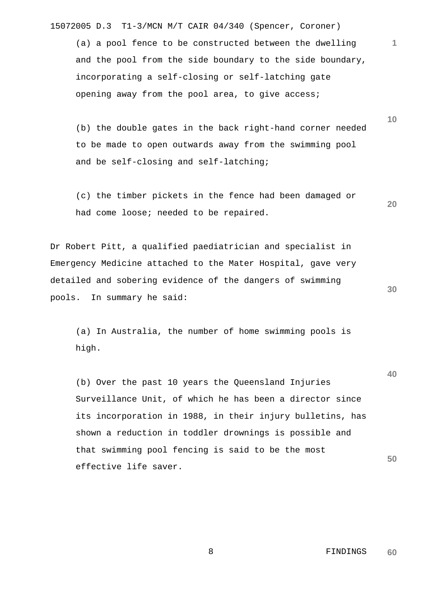(a) a pool fence to be constructed between the dwelling and the pool from the side boundary to the side boundary, incorporating a self-closing or self-latching gate opening away from the pool area, to give access;

 (b) the double gates in the back right-hand corner needed to be made to open outwards away from the swimming pool and be self-closing and self-latching;

 (c) the timber pickets in the fence had been damaged or had come loose; needed to be repaired.

Dr Robert Pitt, a qualified paediatrician and specialist in Emergency Medicine attached to the Mater Hospital, gave very detailed and sobering evidence of the dangers of swimming pools. In summary he said:

 (a) In Australia, the number of home swimming pools is high.

**50** (b) Over the past 10 years the Queensland Injuries Surveillance Unit, of which he has been a director since its incorporation in 1988, in their injury bulletins, has shown a reduction in toddler drownings is possible and that swimming pool fencing is said to be the most effective life saver.

**30**

**40**

**1**

**10**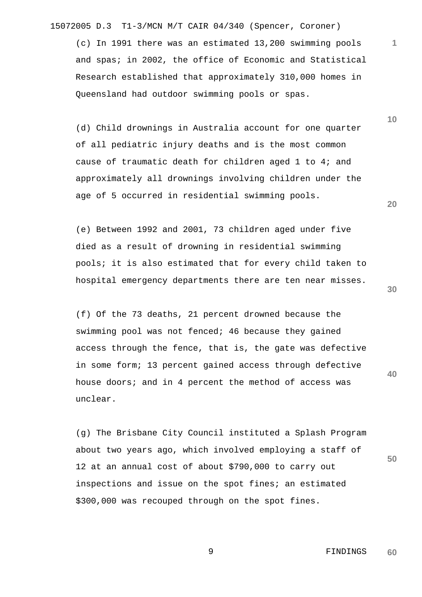(c) In 1991 there was an estimated 13,200 swimming pools and spas; in 2002, the office of Economic and Statistical Research established that approximately 310,000 homes in Queensland had outdoor swimming pools or spas.

 (d) Child drownings in Australia account for one quarter of all pediatric injury deaths and is the most common cause of traumatic death for children aged 1 to 4; and approximately all drownings involving children under the age of 5 occurred in residential swimming pools.

 (e) Between 1992 and 2001, 73 children aged under five died as a result of drowning in residential swimming pools; it is also estimated that for every child taken to hospital emergency departments there are ten near misses.

 (f) Of the 73 deaths, 21 percent drowned because the swimming pool was not fenced; 46 because they gained access through the fence, that is, the gate was defective in some form; 13 percent gained access through defective house doors; and in 4 percent the method of access was unclear.

**50** (g) The Brisbane City Council instituted a Splash Program about two years ago, which involved employing a staff of 12 at an annual cost of about \$790,000 to carry out inspections and issue on the spot fines; an estimated \$300,000 was recouped through on the spot fines.

> 9 FINDINGS **60**

**30**

**40**

**20**

**10**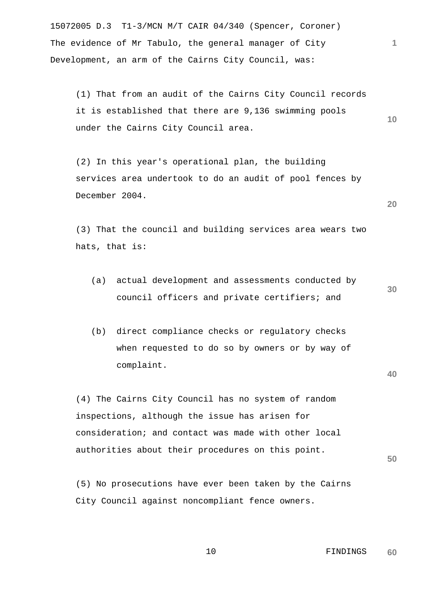15072005 D.3 T1-3/MCN M/T CAIR 04/340 (Spencer, Coroner) The evidence of Mr Tabulo, the general manager of City Development, an arm of the Cairns City Council, was:

 (1) That from an audit of the Cairns City Council records it is established that there are 9,136 swimming pools under the Cairns City Council area.

 (2) In this year's operational plan, the building services area undertook to do an audit of pool fences by December 2004.

 (3) That the council and building services area wears two hats, that is:

- (a) actual development and assessments conducted by council officers and private certifiers; and
- (b) direct compliance checks or regulatory checks when requested to do so by owners or by way of complaint.

 (4) The Cairns City Council has no system of random inspections, although the issue has arisen for consideration; and contact was made with other local authorities about their procedures on this point.

 (5) No prosecutions have ever been taken by the Cairns City Council against noncompliant fence owners.

**20**

**30**

**1**

**10**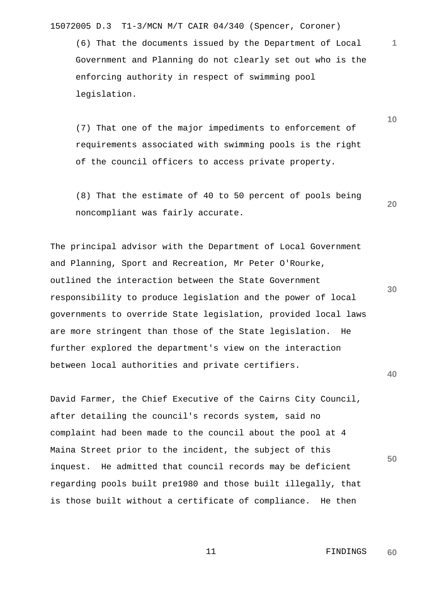(6) That the documents issued by the Department of Local Government and Planning do not clearly set out who is the enforcing authority in respect of swimming pool legislation.

 (7) That one of the major impediments to enforcement of requirements associated with swimming pools is the right of the council officers to access private property.

 (8) That the estimate of 40 to 50 percent of pools being noncompliant was fairly accurate.

The principal advisor with the Department of Local Government and Planning, Sport and Recreation, Mr Peter O'Rourke, outlined the interaction between the State Government responsibility to produce legislation and the power of local governments to override State legislation, provided local laws are more stringent than those of the State legislation. He further explored the department's view on the interaction between local authorities and private certifiers.

David Farmer, the Chief Executive of the Cairns City Council, after detailing the council's records system, said no complaint had been made to the council about the pool at 4 Maina Street prior to the incident, the subject of this inquest. He admitted that council records may be deficient regarding pools built pre1980 and those built illegally, that is those built without a certificate of compliance. He then

**50**

**40**

**1**

**10**

**20**

**30**

 11 FINDINGS **60**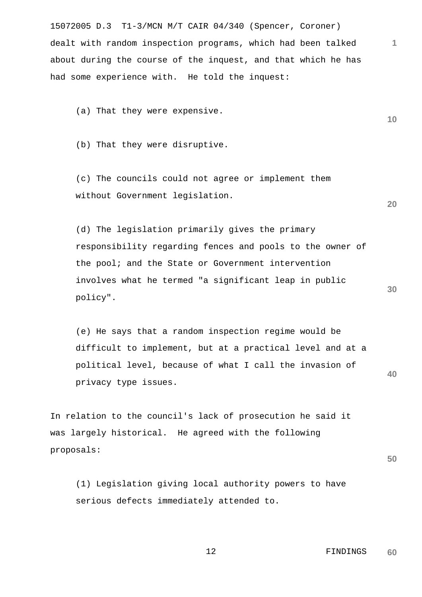15072005 D.3 T1-3/MCN M/T CAIR 04/340 (Spencer, Coroner) dealt with random inspection programs, which had been talked about during the course of the inquest, and that which he has had some experience with. He told the inquest:

(a) That they were expensive.

(b) That they were disruptive.

 (c) The councils could not agree or implement them without Government legislation.

 (d) The legislation primarily gives the primary responsibility regarding fences and pools to the owner of the pool; and the State or Government intervention involves what he termed "a significant leap in public policy".

**40** (e) He says that a random inspection regime would be difficult to implement, but at a practical level and at a political level, because of what I call the invasion of privacy type issues.

In relation to the council's lack of prosecution he said it was largely historical. He agreed with the following proposals:

**50**

**1**

**10**

**20**

**30**

 (1) Legislation giving local authority powers to have serious defects immediately attended to.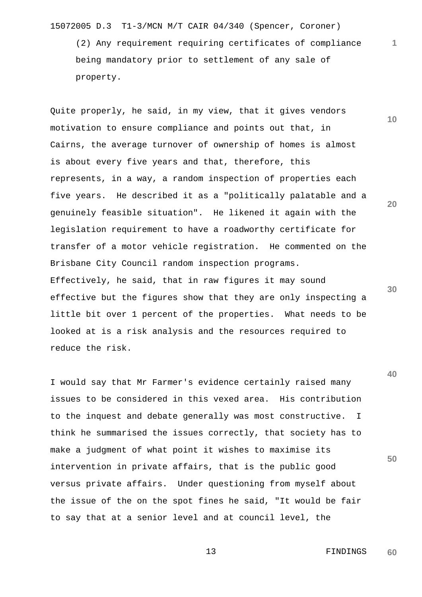(2) Any requirement requiring certificates of compliance being mandatory prior to settlement of any sale of property.

Quite properly, he said, in my view, that it gives vendors motivation to ensure compliance and points out that, in Cairns, the average turnover of ownership of homes is almost is about every five years and that, therefore, this represents, in a way, a random inspection of properties each five years. He described it as a "politically palatable and a genuinely feasible situation". He likened it again with the legislation requirement to have a roadworthy certificate for transfer of a motor vehicle registration. He commented on the Brisbane City Council random inspection programs. Effectively, he said, that in raw figures it may sound effective but the figures show that they are only inspecting a little bit over 1 percent of the properties. What needs to be looked at is a risk analysis and the resources required to reduce the risk.

I would say that Mr Farmer's evidence certainly raised many issues to be considered in this vexed area. His contribution to the inquest and debate generally was most constructive. I think he summarised the issues correctly, that society has to make a judgment of what point it wishes to maximise its intervention in private affairs, that is the public good versus private affairs. Under questioning from myself about the issue of the on the spot fines he said, "It would be fair to say that at a senior level and at council level, the

**10**

**1**

**20**

**30**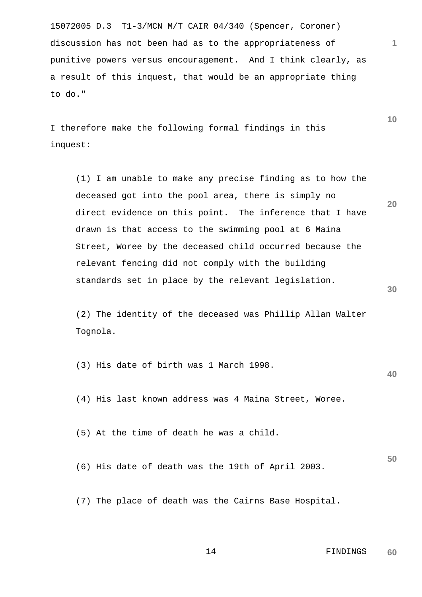15072005 D.3 T1-3/MCN M/T CAIR 04/340 (Spencer, Coroner) discussion has not been had as to the appropriateness of punitive powers versus encouragement. And I think clearly, as a result of this inquest, that would be an appropriate thing to do."

I therefore make the following formal findings in this inquest:

**20 30** (1) I am unable to make any precise finding as to how the deceased got into the pool area, there is simply no direct evidence on this point. The inference that I have drawn is that access to the swimming pool at 6 Maina Street, Woree by the deceased child occurred because the relevant fencing did not comply with the building standards set in place by the relevant legislation.

 (2) The identity of the deceased was Phillip Allan Walter Tognola.

(3) His date of birth was 1 March 1998.

(4) His last known address was 4 Maina Street, Woree.

(5) At the time of death he was a child.

(6) His date of death was the 19th of April 2003.

(7) The place of death was the Cairns Base Hospital.

## 14 FINDINGS **60**

**1**

**10**

**40**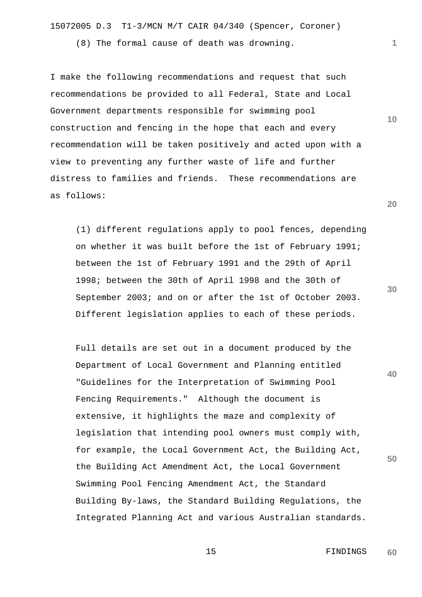(8) The formal cause of death was drowning.

I make the following recommendations and request that such recommendations be provided to all Federal, State and Local Government departments responsible for swimming pool construction and fencing in the hope that each and every recommendation will be taken positively and acted upon with a view to preventing any further waste of life and further distress to families and friends. These recommendations are as follows:

 (1) different regulations apply to pool fences, depending on whether it was built before the 1st of February 1991; between the 1st of February 1991 and the 29th of April 1998; between the 30th of April 1998 and the 30th of September 2003; and on or after the 1st of October 2003. Different legislation applies to each of these periods.

 Full details are set out in a document produced by the Department of Local Government and Planning entitled "Guidelines for the Interpretation of Swimming Pool Fencing Requirements." Although the document is extensive, it highlights the maze and complexity of legislation that intending pool owners must comply with, for example, the Local Government Act, the Building Act, the Building Act Amendment Act, the Local Government Swimming Pool Fencing Amendment Act, the Standard Building By-laws, the Standard Building Regulations, the Integrated Planning Act and various Australian standards.

**20**

**10**

**1**

**30**

**40**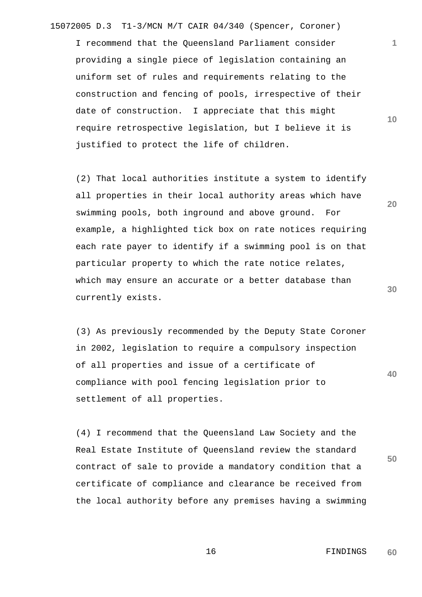I recommend that the Queensland Parliament consider providing a single piece of legislation containing an uniform set of rules and requirements relating to the construction and fencing of pools, irrespective of their date of construction. I appreciate that this might require retrospective legislation, but I believe it is justified to protect the life of children.

 (2) That local authorities institute a system to identify all properties in their local authority areas which have swimming pools, both inground and above ground. For example, a highlighted tick box on rate notices requiring each rate payer to identify if a swimming pool is on that particular property to which the rate notice relates, which may ensure an accurate or a better database than currently exists.

 (3) As previously recommended by the Deputy State Coroner in 2002, legislation to require a compulsory inspection of all properties and issue of a certificate of compliance with pool fencing legislation prior to settlement of all properties.

 (4) I recommend that the Queensland Law Society and the Real Estate Institute of Queensland review the standard contract of sale to provide a mandatory condition that a certificate of compliance and clearance be received from the local authority before any premises having a swimming **10**

**1**

**30**

**40**

**50**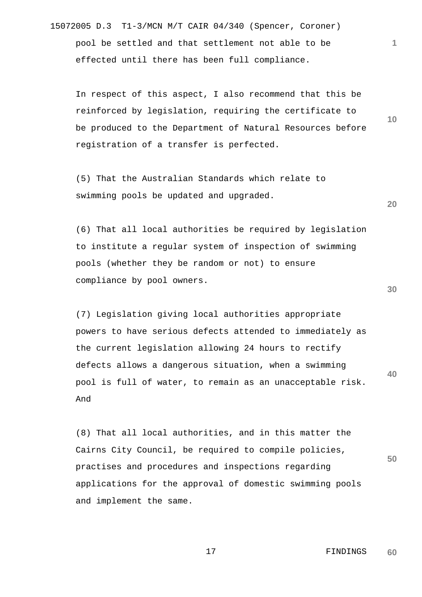15072005 D.3 T1-3/MCN M/T CAIR 04/340 (Spencer, Coroner) pool be settled and that settlement not able to be effected until there has been full compliance.

 In respect of this aspect, I also recommend that this be reinforced by legislation, requiring the certificate to be produced to the Department of Natural Resources before registration of a transfer is perfected.

 (5) That the Australian Standards which relate to swimming pools be updated and upgraded.

 (6) That all local authorities be required by legislation to institute a regular system of inspection of swimming pools (whether they be random or not) to ensure compliance by pool owners.

**40** (7) Legislation giving local authorities appropriate powers to have serious defects attended to immediately as the current legislation allowing 24 hours to rectify defects allows a dangerous situation, when a swimming pool is full of water, to remain as an unacceptable risk. And

 (8) That all local authorities, and in this matter the Cairns City Council, be required to compile policies, practises and procedures and inspections regarding applications for the approval of domestic swimming pools and implement the same.

> 17 FINDINGS **60**

**30**

**50**

**20**

**10**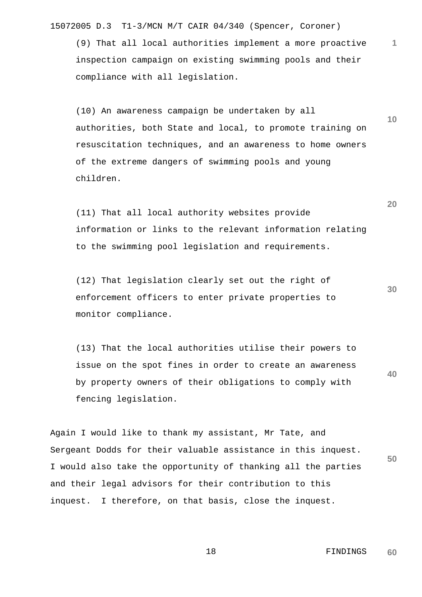(9) That all local authorities implement a more proactive inspection campaign on existing swimming pools and their compliance with all legislation.

 (10) An awareness campaign be undertaken by all authorities, both State and local, to promote training on resuscitation techniques, and an awareness to home owners of the extreme dangers of swimming pools and young children.

 (11) That all local authority websites provide information or links to the relevant information relating to the swimming pool legislation and requirements.

 (12) That legislation clearly set out the right of enforcement officers to enter private properties to monitor compliance.

**40** (13) That the local authorities utilise their powers to issue on the spot fines in order to create an awareness by property owners of their obligations to comply with fencing legislation.

**50** Again I would like to thank my assistant, Mr Tate, and Sergeant Dodds for their valuable assistance in this inquest. I would also take the opportunity of thanking all the parties and their legal advisors for their contribution to this inquest. I therefore, on that basis, close the inquest.

> 18 FINDINGS **60**

**1**

**10**

**20**